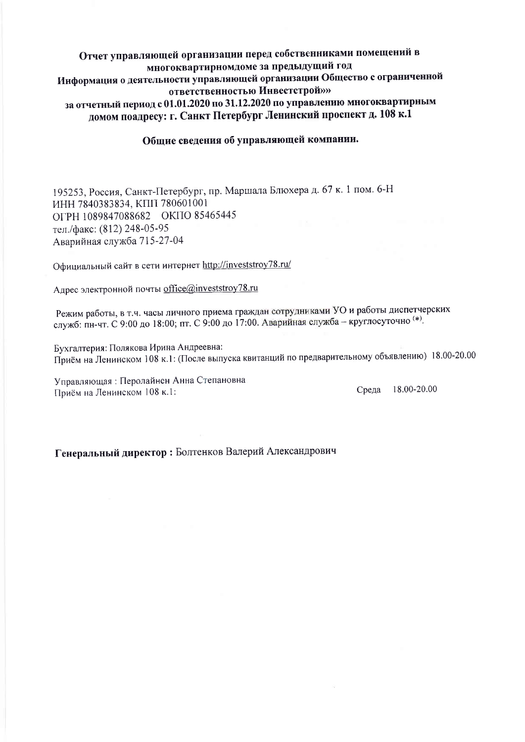# Отчет управляющей организации перед собственниками помещений в многоквартирномдоме за предыдущий год Информация о деятельности управляющей организации Общество с ограниченной ответственностью Инвестстрой»» за отчетный период с 01.01.2020 по 31.12.2020 по управлению многоквартирным домом поадресу: г. Санкт Петербург Ленинский проспект д. 108 к.1

#### Обшие сведения об управляющей компании.

195253, Россия, Санкт-Петербург, пр. Маршала Блюхера д. 67 к. 1 пом. 6-Н ИНН 7840383834, КПП 780601001 OFPH 1089847088682 OKITO 85465445 тел./факс: (812) 248-05-95 Аварийная служба 715-27-04

Официальный сайт в сети интернет http://investstroy78.ru/

Алрес электронной почты office@investstroy78.ru

Режим работы, в т.ч. часы личного приема граждан сотрудниками УО и работы диспетчерских служб: пн-чт. С 9:00 до 18:00; пт. С 9:00 до 17:00. Аварийная служба - круглосуточно (\*).

Бухгалтерия: Полякова Ирина Андреевна: Приём на Ленинском 108 к.1: (После выпуска квитанций по предварительному объявлению) 18.00-20.00

Управляющая: Перолайнен Анна Степановна Приём на Ленинском 108 к.1:

Среда 18.00-20.00

Š.

Генеральный директор: Болтенков Валерий Александрович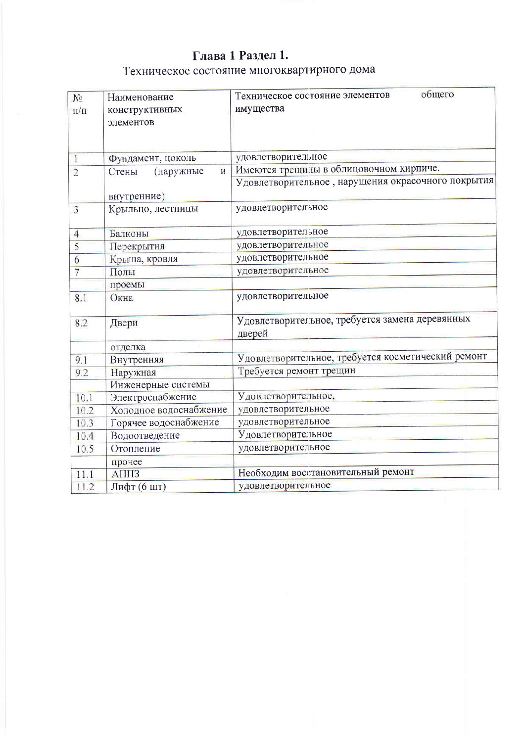# Глава 1 Раздел 1. Техническое состояние многоквартирного дома

| N <sub>2</sub> | Наименование           | общего<br>Техническое состояние элементов          |
|----------------|------------------------|----------------------------------------------------|
| $\Pi/\Pi$      | конструктивных         | имущества                                          |
|                | элементов              |                                                    |
|                |                        |                                                    |
| T              | Фундамент, цоколь      | удовлетворительное                                 |
|                | $\overline{M}$         | Имеются трещины в облицовочном кирпиче.            |
| $\overline{2}$ | (наружные<br>Стены     | Удовлетворительное, нарушения окрасочного покрытия |
|                | внутренние)            |                                                    |
| 3              | Крыльцо, лестницы      | удовлетворительное                                 |
|                |                        |                                                    |
| $\overline{4}$ | Балконы                | удовлетворительное                                 |
| 5              | Перекрытия             | удовлетворительное                                 |
| 6              | Крыша, кровля          | удовлетворительное                                 |
| 7              | Полы                   | удовлетворительное                                 |
|                | проемы                 |                                                    |
| 8.1            | Окна                   | удовлетворительное                                 |
| 8.2            | Двери                  | Удовлетворительное, требуется замена деревянных    |
|                |                        | дверей                                             |
|                | отделка                |                                                    |
| 9.1            | Внутренняя             | Удовлетворительное, требуется косметический ремонт |
| 9.2            | Наружная               | Требуется ремонт трещин                            |
|                | Инженерные системы     |                                                    |
| 10.1           | Электроснабжение       | Удовлетворительное,                                |
| 10.2           | Холодное водоснабжение | удовлетворительное                                 |
| 10.3           | Горячее водоснабжение  | удовлетворительное                                 |
| 10.4           | Водоотведение          | Удовлетворительное                                 |
| 10.5           | Отопление              | удовлетворительное                                 |
|                | прочее                 |                                                    |
| 11.1           | $\triangle$ IIII3      | Необходим восстановительный ремонт                 |
| 11.2           | Лифт (6 шт)            | удовлетворительное                                 |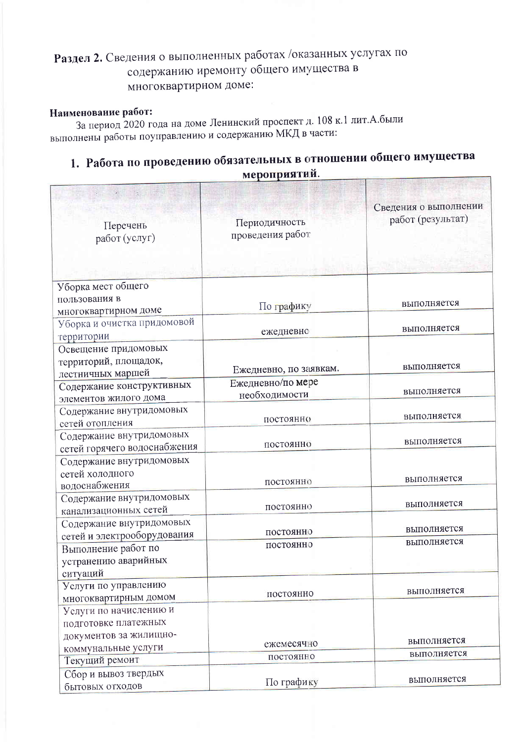# Раздел 2. Сведения о выполненных работах /оказанных услугах по содержанию иремонту общего имущества в многоквартирном доме:

### Наименование работ:

За период 2020 года на доме Ленинский проспект д. 108 к.1 лит. А. были выполнены работы поуправлению и содержанию МКД в части:

# 1. Работа по проведению обязательных в отношении общего имущества мероприятий.

| Перечень<br>работ (услуг)                   | Периодичность<br>проведения работ | Сведения о выполнении<br>работ (результат) |
|---------------------------------------------|-----------------------------------|--------------------------------------------|
|                                             |                                   |                                            |
| Уборка мест общего                          |                                   |                                            |
| пользования в<br>многоквартирном доме       | По графику                        | выполняется                                |
| Уборка и очистка придомовой                 |                                   |                                            |
| территории                                  | ежедневно                         | выполняется                                |
| Освещение придомовых                        |                                   |                                            |
| территорий, площадок,                       |                                   |                                            |
| лестничных маршей                           | Ежедневно, по заявкам.            | выполняется                                |
| Содержание конструктивных                   | Ежедневно/по мере                 |                                            |
| элементов жилого дома                       | необходимости                     | выполняется                                |
| Содержание внутридомовых                    |                                   | выполняется                                |
| сетей отопления                             | постоянно                         |                                            |
| Содержание внутридомовых                    |                                   | выполняется                                |
| сетей горячего водоснабжения                | постоянно                         |                                            |
| Содержание внутридомовых                    |                                   |                                            |
| сетей холодного                             | постоянно                         | выполняется                                |
| водоснабжения                               |                                   |                                            |
| Содержание внутридомовых                    | постоянно                         | выполняется                                |
| канализационных сетей                       |                                   |                                            |
| Содержание внутридомовых                    | постоянно                         | выполняется                                |
| сетей и электрооборудования                 | постоянно                         | выполняется                                |
| Выполнение работ по<br>устранению аварийных |                                   |                                            |
|                                             |                                   |                                            |
| ситуаций<br>Услуги по управлению            |                                   |                                            |
| многоквартирным домом                       | постоянно                         | выполняется                                |
| Услуги по начислению и                      |                                   |                                            |
| подготовке платежных                        |                                   |                                            |
| документов за жилищно-                      |                                   |                                            |
| коммунальные услуги                         | ежемесячно                        | выполняется                                |
| Текущий ремонт                              | постоянно                         | выполняется                                |
| Сбор и вывоз твердых                        |                                   |                                            |
| бытовых отходов                             | По графику                        | выполняется                                |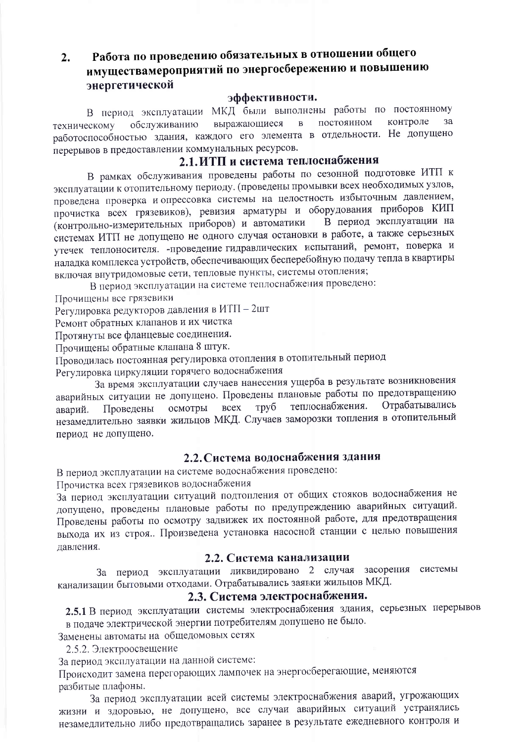#### Работа по проведению обязательных в отношении общего  $2.$ имуществамероприятий по энергосбережению и повышению энергетической

#### эффективности.

В период эксплуатации МКД были выполнены работы по постоянному контроле постоянном  $3a$ выражающиеся  $\overline{R}$ обслуживанию техническому работоспособностью здания, каждого его элемента в отдельности. Не допущено перерывов в предоставлении коммунальных ресурсов.

# 2.1. ИТП и система теплоснабжения

В рамках обслуживания проведены работы по сезонной подготовке ИТП к эксплуатации к отопительному периоду. (проведены промывки всех необходимых узлов, проведена проверка и опрессовка системы на целостность избыточным давлением, прочистка всех грязевиков), ревизия арматуры и оборудования приборов КИП В период эксплуатации на (контрольно-измерительных приборов) и автоматики системах ИТП не допущено не одного случая остановки в работе, а также серьезных утечек теплоносителя. - проведение гидравлических испытаний, ремонт, поверка и наладка комплекса устройств, обеспечивающих бесперебойную подачу тепла в квартиры включая внутридомовые сети, тепловые пункты, системы отопления;

В период эксплуатации на системе теплоснабжения проведено:

Прочищены все грязевики

Регулировка редукторов давления в ИТП - 2шт

Ремонт обратных клапанов и их чистка

Протянуты все фланцевые соединения.

Прочищены обратные клапана 8 штук.

Проводилась постоянная регулировка отопления в отопительный период

Регулировка циркуляции горячего водоснабжения

За время эксплуатации случаев нанесения ущерба в результате возникновения аварийных ситуации не допущено. Проведены плановые работы по предотвращению Отрабатывались осмотры всех труб теплоснабжения. аварий. Проведены незамедлительно заявки жильцов МКД. Случаев заморозки топления в отопительный период не допущено.

### 2.2. Система водоснабжения здания

В период эксплуатации на системе водоснабжения проведено:

Прочистка всех грязевиков водоснабжения

За период эксплуатации ситуаций подтопления от общих стояков водоснабжения не допущено, проведены плановые работы по предупреждению аварийных ситуаций. Проведены работы по осмотру задвижек их постоянной работе, для предотвращения выхода их из строя. Произведена установка насосной станции с целью повышения лавления.

#### 2.2. Система канализации

За период эксплуатации ликвидировано 2 случая засорения системы канализации бытовыми отходами. Отрабатывались заявки жильцов МКД.

# 2.3. Система электроснабжения.

2.5.1 В период эксплуатации системы электроснабжения здания, серьезных перерывов в подаче электрической энергии потребителям допушено не было.

Заменены автоматы на общедомовых сетях

2.5.2. Электроосвещение

За период эксплуатации на данной системе:

Происходит замена перегорающих лампочек на энергосберегающие, меняются разбитые плафоны.

За период эксплуатации всей системы электроснабжения аварий, угрожающих жизни и здоровью, не допущено, все случаи аварийных ситуаций устранялись незамедлительно либо предотвращались заранее в результате ежедневного контроля и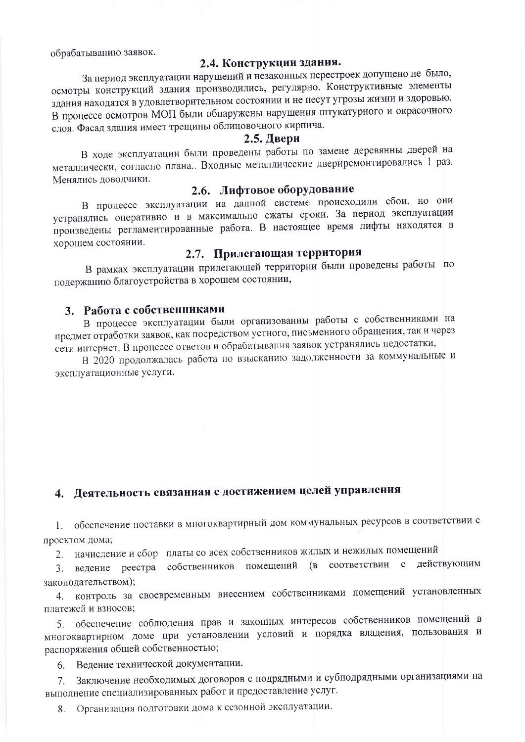обрабатыванию заявок.

#### 2.4. Конструкции здания.

За период эксплуатации нарушений и незаконных перестроек допущено не было, осмотры конструкций здания производились, регулярно. Конструктивные элементы здания находятся в удовлетворительном состоянии и не несут угрозы жизни и здоровью. В процессе осмотров МОП были обнаружены нарушения штукатурного и окрасочного слоя. Фасад здания имеет трещины облицовочного кирпича.

#### 2.5. Двери

В ходе эксплуатации были проведены работы по замене деревянны дверей на металлически, согласно плана.. Входные металлические двериремонтировались 1 раз. Менялись доводчики.

### 2.6. Лифтовое оборудование

В процессе эксплуатации на данной системе происходили сбои, но они устранялись оперативно и в максимально сжаты сроки. За период эксплуатации произведены регламентированные работа. В настоящее время лифты находятся в хорошем состоянии.

# 2.7. Прилегающая территория

В рамках эксплуатации прилегающей территории были проведены работы по подержанию благоустройства в хорошем состоянии,

### 3. Работа с собственниками

В процессе эксплуатации были организованны работы с собственниками на предмет отработки заявок, как посредством устного, письменного обращения, так и через сети интернет. В процессе ответов и обрабатывания заявок устранялись недостатки,

В 2020 продолжалась работа по взысканию задолженности за коммунальные и эксплуатационные услуги.

# 4. Деятельность связанная с достижением целей управления

1. обеспечение поставки в многоквартирный дом коммунальных ресурсов в соответствии с проектом дома;

2. начисление и сбор платы со всех собственников жилых и нежилых помещений

3. ведение реестра собственников помещений (в соответствии с действующим законодательством);

контроль за своевременным внесением собственниками помещений установленных 4. платежей и взносов;

5. обеспечение соблюдения прав и законных интересов собственников помещений в многоквартирном доме при установлении условий и порядка владения, пользования и распоряжения общей собственностью;

Ведение технической документации. 6.

7. Заключение необходимых договоров с подрядными и субподрядными организациями на выполнение специализированных работ и предоставление услуг.

Организация подготовки дома к сезонной эксплуатации. 8.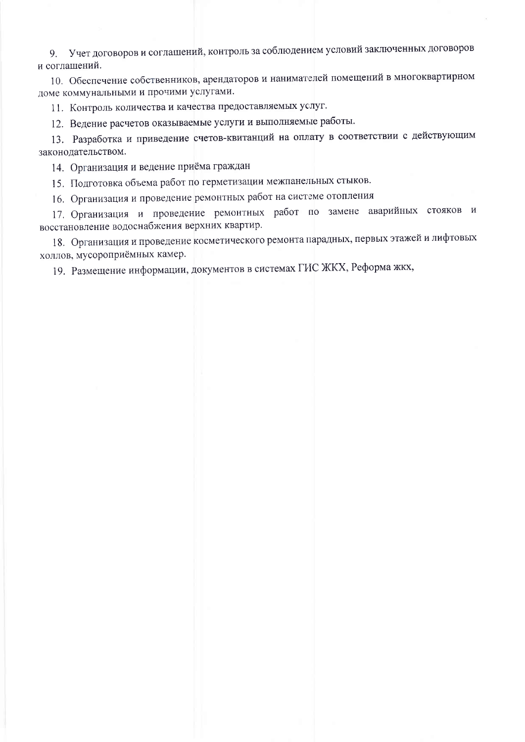9. Учет договоров и соглашений, контроль за соблюдением условий заключенных договоров и соглашений.

10. Обеспечение собственников, арендаторов и нанимателей помещений в многоквартирном доме коммунальными и прочими услугами.

11. Контроль количества и качества предоставляемых услуг.

12. Ведение расчетов оказываемые услуги и выполняемые работы.

13. Разработка и приведение счетов-квитанций на оплату в соответствии с действующим законодательством.

14. Организация и ведение приёма граждан

15. Подготовка объема работ по герметизации межпанельных стыков.

16. Организация и проведение ремонтных работ на системе отопления

17. Организация и проведение ремонтных работ по замене аварийных стояков и восстановление водоснабжения верхних квартир.

18. Организация и проведение косметического ремонта парадных, первых этажей и лифтовых холлов, мусороприёмных камер.

19. Размещение информации, документов в системах ГИС ЖКХ, Реформа жкх,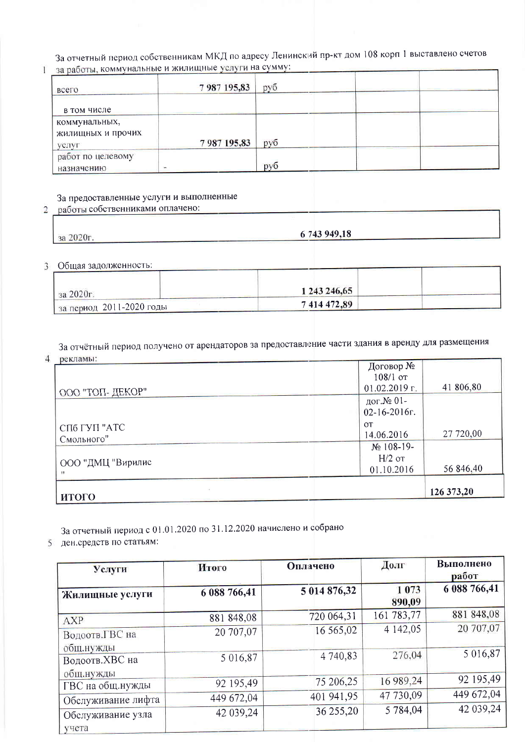За отчетный период собственникам МКД по адресу Ленинский пр-кт дом 108 корп 1 выставлено счетов 1 за работы, коммунальные и жилищные услуги на сумму:

| $\frac{1}{2}$<br>всего                      | 7987195,83 | руб |  |
|---------------------------------------------|------------|-----|--|
| в том числе                                 |            |     |  |
| коммунальных,<br>жилищных и прочих<br>услуг | 7987195,83 | руб |  |
| работ по целевому<br>назначению             |            | pv6 |  |

### За предоставленные услуги и выполненные

#### работы собственниками оплачено:  $\overline{2}$

за 2020г.

6 743 949,18

3 Общая задолженность:

| за 2020г.                            | 1 243 246,65 |  |
|--------------------------------------|--------------|--|
| $\frac{1}{3a}$ период 2011-2020 годы | 7 414 472,89 |  |

За отчётный период получено от арендаторов за предоставление части здания в аренду для размещения рекламы:

 $\overline{4}$ 

| Deinitrupi.                | Договор №<br>$108/1$ or                |            |
|----------------------------|----------------------------------------|------------|
| ООО "ТОП- ДЕКОР"           | $01.02.2019$ r.                        | 41 806,80  |
|                            | дог.№ 01-<br>$02 - 16 - 2016$          |            |
| СПб ГУП "АТС<br>Смольного" | <b>OT</b><br>14.06.2016                | 27 720,00  |
| ООО "ДМЦ "Вирилис          | $N2$ 108-19-<br>$H/2$ or<br>01.10.2016 | 56 846,40  |
| итого                      |                                        | 126 373,20 |

За отчетный период с 01.01.2020 по 31.12.2020 начислено и собрано

5 ден.средств по статьям:

| Услуги                      | Итого        | Оплачено     | Долг              | Выполнено<br>работ |
|-----------------------------|--------------|--------------|-------------------|--------------------|
| Жилищные услуги             | 6 088 766,41 | 5 014 876,32 | 1 0 7 3<br>890,09 | 6 088 766,41       |
| <b>AXP</b>                  | 881 848,08   | 720 064,31   | 161 783,77        | 881 848,08         |
| Водоотв.ГВС на<br>общ.нужды | 20 707,07    | 16 565,02    | 4 142,05          | 20 707,07          |
| Водоотв.ХВС на<br>общ.нужды | 5 016,87     | 4 740,83     | 276,04            | 5 016,87           |
| ГВС на общ.нужды            | 92 195,49    | 75 206,25    | 16 989,24         | 92 195,49          |
| Обслуживание лифта          | 449 672,04   | 401 941,95   | 47 730,09         | 449 672,04         |
| Обслуживание узла<br>учета  | 42 039,24    | 36 255,20    | 5 784,04          | 42 039,24          |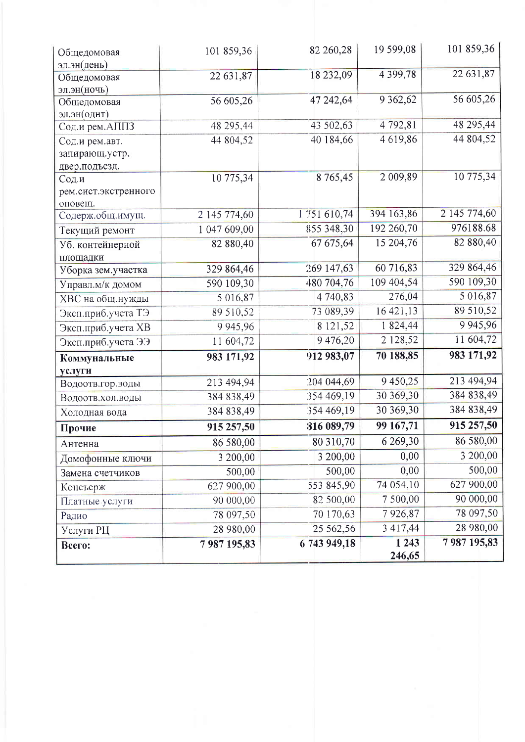| Общедомовая                 | 101 859,36   | 82 260,28    | 19 599,08         | 101 859,36    |
|-----------------------------|--------------|--------------|-------------------|---------------|
| эл.эн(день)                 |              |              |                   |               |
| Общедомовая                 | 22 631,87    | 18 232,09    | 4 3 9 9, 78       | 22 631,87     |
| эл.эн(ночь)                 |              |              |                   |               |
| Общедомовая                 | 56 605,26    | 47 242,64    | 9 3 6 2, 6 2      | 56 605,26     |
| эл.эн(однт)                 |              |              |                   |               |
| Сод.и рем.АППЗ              | 48 295,44    | 43 502,63    | 4 792,81          | 48 295,44     |
| Сод.и рем.авт.              | 44 804,52    | 40 184,66    | 4619,86           | 44 804,52     |
| запирающ.устр.              |              |              |                   |               |
| двер.подъезд.               |              |              | 2 009,89          | 10 775,34     |
| Сод.и                       | 10 775,34    | 8 7 65,45    |                   |               |
| рем.сист.экстренного        |              |              |                   |               |
| оповещ.<br>Содерж.общ.имущ. | 2 145 774,60 | 1751 610,74  | 394 163,86        | 2 145 774,60  |
| Текущий ремонт              | 1 047 609,00 | 855 348,30   | 192 260,70        | 976188.68     |
| Уб. контейнерной            | 82 880,40    | 67 675,64    | 15 204,76         | 82 880,40     |
| площадки                    |              |              |                   |               |
| Уборка зем. участка         | 329 864,46   | 269 147,63   | 60 716,83         | 329 864,46    |
| Управл.м/к домом            | 590 109,30   | 480 704,76   | 109 404,54        | 590 109,30    |
| ХВС на общ.нужды            | 5 016,87     | 4 740,83     | 276,04            | 5 016,87      |
| Эксп.приб.учета ТЭ          | 89 510,52    | 73 089,39    | 16 421,13         | 89 510,52     |
| Эксп.приб.учета ХВ          | 9 9 45, 96   | 8 121,52     | 1824,44           | 9 9 4 5 , 9 6 |
| Эксп.приб.учета ЭЭ          | 11 604,72    | 9476,20      | 2 128,52          | 11 604,72     |
|                             | 983 171,92   | 912 983,07   | 70 188,85         | 983 171,92    |
| Коммунальные                |              |              |                   |               |
| услуги<br>Водоотв.гор.воды  | 213 494,94   | 204 044,69   | 9 450,25          | 213 494,94    |
| Водоотв.хол.воды            | 384 838,49   | 354 469,19   | 30 369,30         | 384 838,49    |
| Холодная вода               | 384 838,49   | 354 469,19   | 30 369,30         | 384 838,49    |
| Прочие                      | 915 257,50   | 816 089,79   | 99 167,71         | 915 257,50    |
|                             | 86 580,00    | 80 310,70    | 6 269,30          | 86 580,00     |
| Антенна                     | 3 200,00     | 3 200,00     | 0,00              | 3 200,00      |
| Домофонные ключи            |              | 500,00       | 0,00              | 500,00        |
| Замена счетчиков            | 500,00       |              |                   | 627 900,00    |
| Консъерж                    | 627 900,00   | 553 845,90   | 74 054,10         |               |
| Платные услуги              | 90 000,00    | 82 500,00    | 7500,00           | 90 000,00     |
| Радио                       | 78 097,50    | 70 170,63    | 7926,87           | 78 097,50     |
| Услуги РЦ                   | 28 980,00    | 25 562,56    | 3 417,44          | 28 980,00     |
| Всего:                      | 7 987 195,83 | 6 743 949,18 | 1 2 4 3<br>246,65 | 7987195,83    |
|                             |              |              |                   |               |